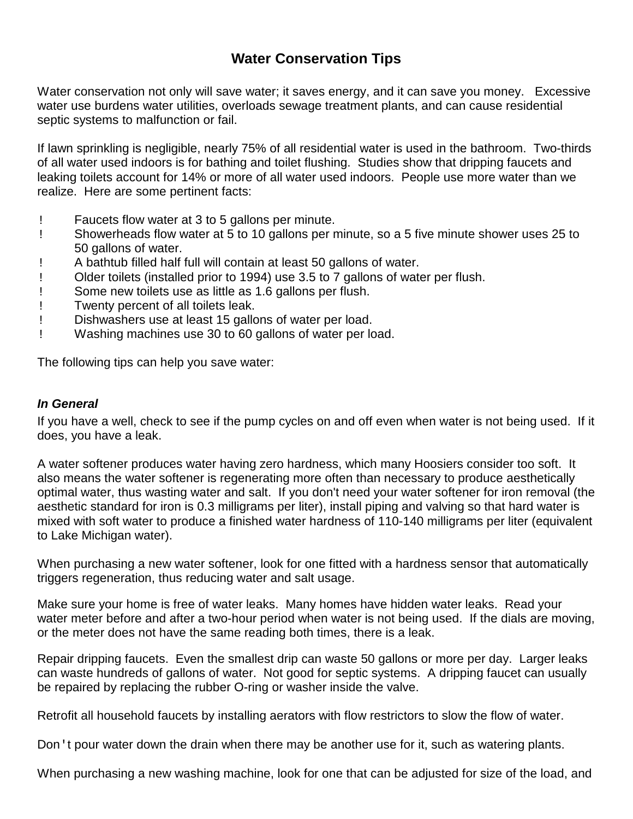# **Water Conservation Tips**

Water conservation not only will save water; it saves energy, and it can save you money. Excessive water use burdens water utilities, overloads sewage treatment plants, and can cause residential septic systems to malfunction or fail.

If lawn sprinkling is negligible, nearly 75% of all residential water is used in the bathroom. Two-thirds of all water used indoors is for bathing and toilet flushing. Studies show that dripping faucets and leaking toilets account for 14% or more of all water used indoors. People use more water than we realize. Here are some pertinent facts:

- ! Faucets flow water at 3 to 5 gallons per minute.
- ! Showerheads flow water at 5 to 10 gallons per minute, so a 5 five minute shower uses 25 to 50 gallons of water.
- ! A bathtub filled half full will contain at least 50 gallons of water.
- ! Older toilets (installed prior to 1994) use 3.5 to 7 gallons of water per flush.
- ! Some new toilets use as little as 1.6 gallons per flush.
- ! Twenty percent of all toilets leak.
- ! Dishwashers use at least 15 gallons of water per load.
- ! Washing machines use 30 to 60 gallons of water per load.

The following tips can help you save water:

#### *In General*

If you have a well, check to see if the pump cycles on and off even when water is not being used. If it does, you have a leak.

A water softener produces water having zero hardness, which many Hoosiers consider too soft. It also means the water softener is regenerating more often than necessary to produce aesthetically optimal water, thus wasting water and salt. If you don't need your water softener for iron removal (the aesthetic standard for iron is 0.3 milligrams per liter), install piping and valving so that hard water is mixed with soft water to produce a finished water hardness of 110-140 milligrams per liter (equivalent to Lake Michigan water).

When purchasing a new water softener, look for one fitted with a hardness sensor that automatically triggers regeneration, thus reducing water and salt usage.

Make sure your home is free of water leaks. Many homes have hidden water leaks. Read your water meter before and after a two-hour period when water is not being used. If the dials are moving, or the meter does not have the same reading both times, there is a leak.

Repair dripping faucets. Even the smallest drip can waste 50 gallons or more per day. Larger leaks can waste hundreds of gallons of water. Not good for septic systems. A dripping faucet can usually be repaired by replacing the rubber O-ring or washer inside the valve.

Retrofit all household faucets by installing aerators with flow restrictors to slow the flow of water.

Don 't pour water down the drain when there may be another use for it, such as watering plants.

When purchasing a new washing machine, look for one that can be adjusted for size of the load, and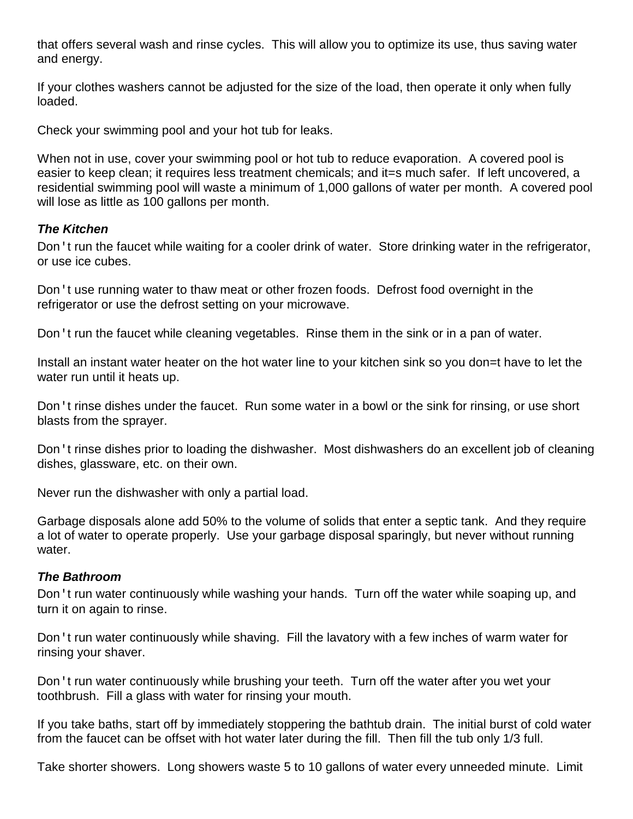that offers several wash and rinse cycles. This will allow you to optimize its use, thus saving water and energy.

If your clothes washers cannot be adjusted for the size of the load, then operate it only when fully loaded.

Check your swimming pool and your hot tub for leaks.

When not in use, cover your swimming pool or hot tub to reduce evaporation. A covered pool is easier to keep clean; it requires less treatment chemicals; and it=s much safer. If left uncovered, a residential swimming pool will waste a minimum of 1,000 gallons of water per month. A covered pool will lose as little as 100 gallons per month.

# *The Kitchen*

Don 't run the faucet while waiting for a cooler drink of water. Store drinking water in the refrigerator, or use ice cubes.

Don't use running water to thaw meat or other frozen foods. Defrost food overnight in the refrigerator or use the defrost setting on your microwave.

Don't run the faucet while cleaning vegetables. Rinse them in the sink or in a pan of water.

Install an instant water heater on the hot water line to your kitchen sink so you don=t have to let the water run until it heats up.

Don't rinse dishes under the faucet. Run some water in a bowl or the sink for rinsing, or use short blasts from the sprayer.

Don't rinse dishes prior to loading the dishwasher. Most dishwashers do an excellent job of cleaning dishes, glassware, etc. on their own.

Never run the dishwasher with only a partial load.

Garbage disposals alone add 50% to the volume of solids that enter a septic tank. And they require a lot of water to operate properly. Use your garbage disposal sparingly, but never without running water

## *The Bathroom*

Don't run water continuously while washing your hands. Turn off the water while soaping up, and turn it on again to rinse.

Don 't run water continuously while shaving. Fill the lavatory with a few inches of warm water for rinsing your shaver.

Don't run water continuously while brushing your teeth. Turn off the water after you wet your toothbrush. Fill a glass with water for rinsing your mouth.

If you take baths, start off by immediately stoppering the bathtub drain. The initial burst of cold water from the faucet can be offset with hot water later during the fill. Then fill the tub only 1/3 full.

Take shorter showers. Long showers waste 5 to 10 gallons of water every unneeded minute. Limit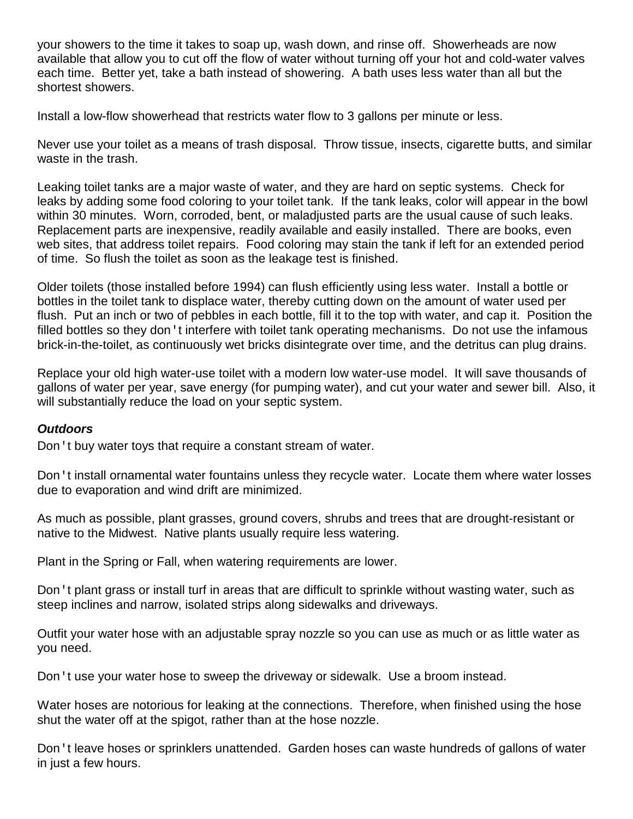your showers to the time it takes to soap up, wash down, and rinse off. Showerheads are now available that allow you to cut off the flow of water without turning off your hot and cold-water valves each time. Better yet, take a bath instead of showering. A bath uses less water than all but the shortest showers.

Install a low-flow showerhead that restricts water flow to 3 gallons per minute or less.

Never use your toilet as a means of trash disposal. Throw tissue, insects, cigarette butts, and similar waste in the trash.

Leaking toilet tanks are a major waste of water, and they are hard on septic systems. Check for leaks by adding some food coloring to your toilet tank. If the tank leaks, color will appear in the bowl within 30 minutes. Worn, corroded, bent, or maladjusted parts are the usual cause of such leaks. Replacement parts are inexpensive, readily available and easily installed. There are books, even web sites, that address toilet repairs. Food coloring may stain the tank if left for an extended period of time. So flush the toilet as soon as the leakage test is finished.

Older toilets (those installed before 1994) can flush efficiently using less water. Install a bottle or bottles in the toilet tank to displace water, thereby cutting down on the amount of water used per flush. Put an inch or two of pebbles in each bottle, fill it to the top with water, and cap it. Position the filled bottles so they don't interfere with toilet tank operating mechanisms. Do not use the infamous brick-in-the-toilet, as continuously wet bricks disintegrate over time, and the detritus can plug drains.

Replace your old high water-use toilet with a modern low water-use model. It will save thousands of gallons of water per year, save energy (for pumping water), and cut your water and sewer bill. Also, it will substantially reduce the load on your septic system.

## *Outdoors*

Don't buy water toys that require a constant stream of water.

Don It install ornamental water fountains unless they recycle water. Locate them where water losses due to evaporation and wind drift are minimized.

As much as possible, plant grasses, ground covers, shrubs and trees that are drought-resistant or native to the Midwest. Native plants usually require less watering.

Plant in the Spring or Fall, when watering requirements are lower.

Don 't plant grass or install turf in areas that are difficult to sprinkle without wasting water, such as steep inclines and narrow, isolated strips along sidewalks and driveways.

Outfit your water hose with an adjustable spray nozzle so you can use as much or as little water as you need.

Don't use your water hose to sweep the driveway or sidewalk. Use a broom instead.

Water hoses are notorious for leaking at the connections. Therefore, when finished using the hose shut the water off at the spigot, rather than at the hose nozzle.

Don't leave hoses or sprinklers unattended. Garden hoses can waste hundreds of gallons of water in just a few hours.